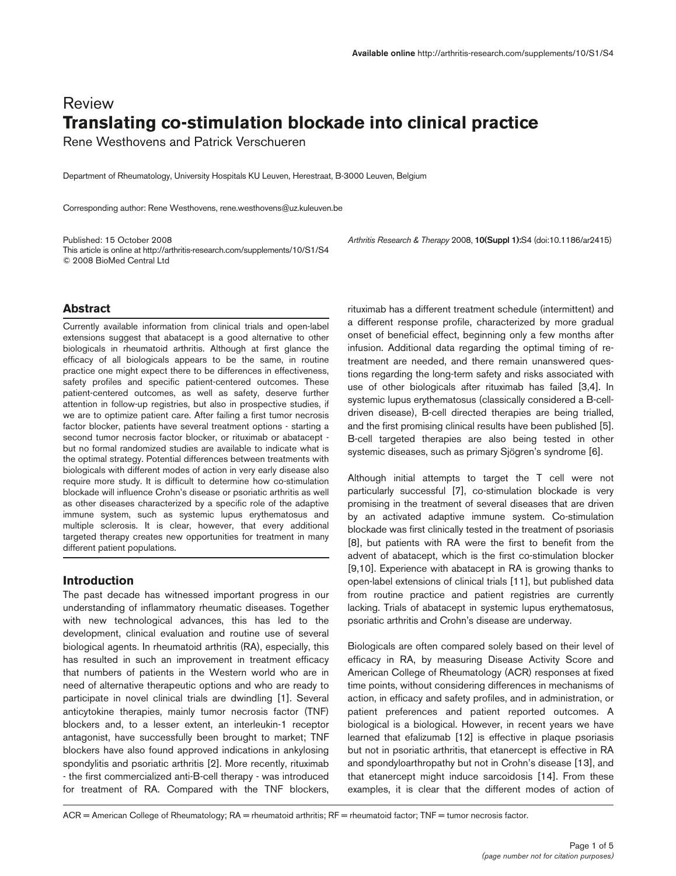# Review **Translating co-stimulation blockade into clinical practice**

Rene Westhovens and Patrick Verschueren

Department of Rheumatology, University Hospitals KU Leuven, Herestraat, B-3000 Leuven, Belgium

Corresponding author: Rene Westhovens, rene.westhovens@uz.kuleuven.be

This article is online at http://arthritis-research.com/supplements/10/S1/S4 © 2008 BioMed Central Ltd

Published: 15 October 2008 *Arthritis Research & Therapy* 2008, **10(Suppl 1):**S4 (doi:10.1186/ar2415)

## **Abstract**

Currently available information from clinical trials and open-label extensions suggest that abatacept is a good alternative to other biologicals in rheumatoid arthritis. Although at first glance the efficacy of all biologicals appears to be the same, in routine practice one might expect there to be differences in effectiveness, safety profiles and specific patient-centered outcomes. These patient-centered outcomes, as well as safety, deserve further attention in follow-up registries, but also in prospective studies, if we are to optimize patient care. After failing a first tumor necrosis factor blocker, patients have several treatment options - starting a second tumor necrosis factor blocker, or rituximab or abatacept but no formal randomized studies are available to indicate what is the optimal strategy. Potential differences between treatments with biologicals with different modes of action in very early disease also require more study. It is difficult to determine how co-stimulation blockade will influence Crohn's disease or psoriatic arthritis as well as other diseases characterized by a specific role of the adaptive immune system, such as systemic lupus erythematosus and multiple sclerosis. It is clear, however, that every additional targeted therapy creates new opportunities for treatment in many different patient populations.

## **Introduction**

The past decade has witnessed important progress in our understanding of inflammatory rheumatic diseases. Together with new technological advances, this has led to the development, clinical evaluation and routine use of several biological agents. In rheumatoid arthritis (RA), especially, this has resulted in such an improvement in treatment efficacy that numbers of patients in the Western world who are in need of alternative therapeutic options and who are ready to participate in novel clinical trials are dwindling [1]. Several anticytokine therapies, mainly tumor necrosis factor (TNF) blockers and, to a lesser extent, an interleukin-1 receptor antagonist, have successfully been brought to market; TNF blockers have also found approved indications in ankylosing spondylitis and psoriatic arthritis [2]. More recently, rituximab - the first commercialized anti-B-cell therapy - was introduced for treatment of RA. Compared with the TNF blockers,

rituximab has a different treatment schedule (intermittent) and a different response profile, characterized by more gradual onset of beneficial effect, beginning only a few months after infusion. Additional data regarding the optimal timing of retreatment are needed, and there remain unanswered questions regarding the long-term safety and risks associated with use of other biologicals after rituximab has failed [3,4]. In systemic lupus erythematosus (classically considered a B-celldriven disease), B-cell directed therapies are being trialled, and the first promising clinical results have been published [5]. B-cell targeted therapies are also being tested in other systemic diseases, such as primary Sjögren's syndrome [6].

Although initial attempts to target the T cell were not particularly successful [7], co-stimulation blockade is very promising in the treatment of several diseases that are driven by an activated adaptive immune system. Co-stimulation blockade was first clinically tested in the treatment of psoriasis [8], but patients with RA were the first to benefit from the advent of abatacept, which is the first co-stimulation blocker [9,10]. Experience with abatacept in RA is growing thanks to open-label extensions of clinical trials [11], but published data from routine practice and patient registries are currently lacking. Trials of abatacept in systemic lupus erythematosus, psoriatic arthritis and Crohn's disease are underway.

Biologicals are often compared solely based on their level of efficacy in RA, by measuring Disease Activity Score and American College of Rheumatology (ACR) responses at fixed time points, without considering differences in mechanisms of action, in efficacy and safety profiles, and in administration, or patient preferences and patient reported outcomes. A biological is a biological. However, in recent years we have learned that efalizumab [12] is effective in plaque psoriasis but not in psoriatic arthritis, that etanercept is effective in RA and spondyloarthropathy but not in Crohn's disease [13], and that etanercept might induce sarcoidosis [14]. From these examples, it is clear that the different modes of action of

ACR = American College of Rheumatology; RA = rheumatoid arthritis; RF = rheumatoid factor; TNF = tumor necrosis factor.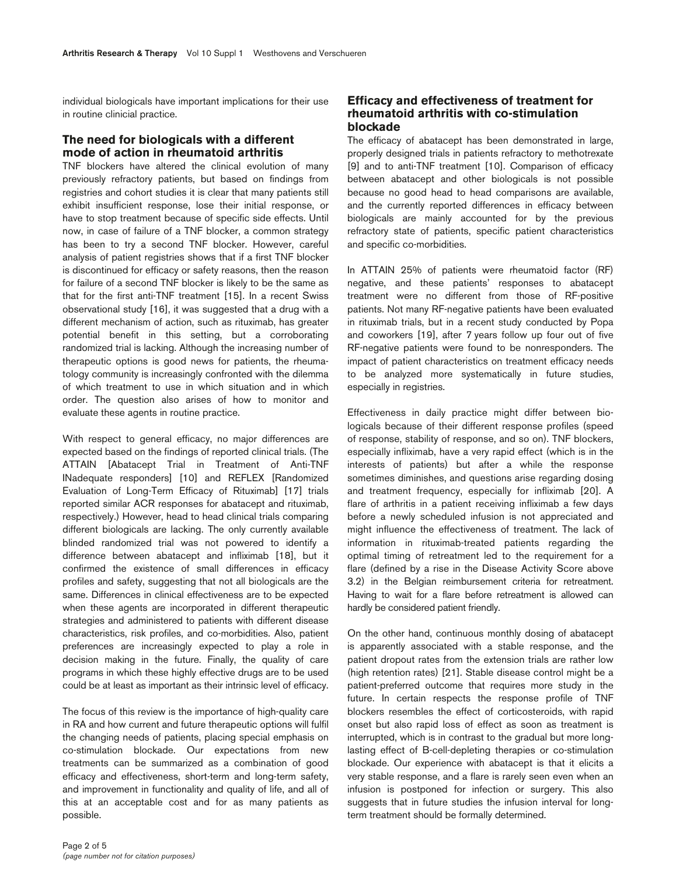individual biologicals have important implications for their use in routine clinicial practice.

#### **The need for biologicals with a different mode of action in rheumatoid arthritis**

TNF blockers have altered the clinical evolution of many previously refractory patients, but based on findings from registries and cohort studies it is clear that many patients still exhibit insufficient response, lose their initial response, or have to stop treatment because of specific side effects. Until now, in case of failure of a TNF blocker, a common strategy has been to try a second TNF blocker. However, careful analysis of patient registries shows that if a first TNF blocker is discontinued for efficacy or safety reasons, then the reason for failure of a second TNF blocker is likely to be the same as that for the first anti-TNF treatment [15]. In a recent Swiss observational study [16], it was suggested that a drug with a different mechanism of action, such as rituximab, has greater potential benefit in this setting, but a corroborating randomized trial is lacking. Although the increasing number of therapeutic options is good news for patients, the rheumatology community is increasingly confronted with the dilemma of which treatment to use in which situation and in which order. The question also arises of how to monitor and evaluate these agents in routine practice.

With respect to general efficacy, no major differences are expected based on the findings of reported clinical trials. (The ATTAIN [Abatacept Trial in Treatment of Anti-TNF INadequate responders] [10] and REFLEX [Randomized Evaluation of Long-Term Efficacy of Rituximab] [17] trials reported similar ACR responses for abatacept and rituximab, respectively.) However, head to head clinical trials comparing different biologicals are lacking. The only currently available blinded randomized trial was not powered to identify a difference between abatacept and infliximab [18], but it confirmed the existence of small differences in efficacy profiles and safety, suggesting that not all biologicals are the same. Differences in clinical effectiveness are to be expected when these agents are incorporated in different therapeutic strategies and administered to patients with different disease characteristics, risk profiles, and co-morbidities. Also, patient preferences are increasingly expected to play a role in decision making in the future. Finally, the quality of care programs in which these highly effective drugs are to be used could be at least as important as their intrinsic level of efficacy.

The focus of this review is the importance of high-quality care in RA and how current and future therapeutic options will fulfil the changing needs of patients, placing special emphasis on co-stimulation blockade. Our expectations from new treatments can be summarized as a combination of good efficacy and effectiveness, short-term and long-term safety, and improvement in functionality and quality of life, and all of this at an acceptable cost and for as many patients as possible.

## **Efficacy and effectiveness of treatment for rheumatoid arthritis with co-stimulation blockade**

The efficacy of abatacept has been demonstrated in large, properly designed trials in patients refractory to methotrexate [9] and to anti-TNF treatment [10]. Comparison of efficacy between abatacept and other biologicals is not possible because no good head to head comparisons are available, and the currently reported differences in efficacy between biologicals are mainly accounted for by the previous refractory state of patients, specific patient characteristics and specific co-morbidities.

In ATTAIN 25% of patients were rheumatoid factor (RF) negative, and these patients' responses to abatacept treatment were no different from those of RF-positive patients. Not many RF-negative patients have been evaluated in rituximab trials, but in a recent study conducted by Popa and coworkers [19], after 7 years follow up four out of five RF-negative patients were found to be nonresponders. The impact of patient characteristics on treatment efficacy needs to be analyzed more systematically in future studies, especially in registries.

Effectiveness in daily practice might differ between biologicals because of their different response profiles (speed of response, stability of response, and so on). TNF blockers, especially infliximab, have a very rapid effect (which is in the interests of patients) but after a while the response sometimes diminishes, and questions arise regarding dosing and treatment frequency, especially for infliximab [20]. A flare of arthritis in a patient receiving infliximab a few days before a newly scheduled infusion is not appreciated and might influence the effectiveness of treatment. The lack of information in rituximab-treated patients regarding the optimal timing of retreatment led to the requirement for a flare (defined by a rise in the Disease Activity Score above 3.2) in the Belgian reimbursement criteria for retreatment. Having to wait for a flare before retreatment is allowed can hardly be considered patient friendly.

On the other hand, continuous monthly dosing of abatacept is apparently associated with a stable response, and the patient dropout rates from the extension trials are rather low (high retention rates) [21]. Stable disease control might be a patient-preferred outcome that requires more study in the future. In certain respects the response profile of TNF blockers resembles the effect of corticosteroids, with rapid onset but also rapid loss of effect as soon as treatment is interrupted, which is in contrast to the gradual but more longlasting effect of B-cell-depleting therapies or co-stimulation blockade. Our experience with abatacept is that it elicits a very stable response, and a flare is rarely seen even when an infusion is postponed for infection or surgery. This also suggests that in future studies the infusion interval for longterm treatment should be formally determined.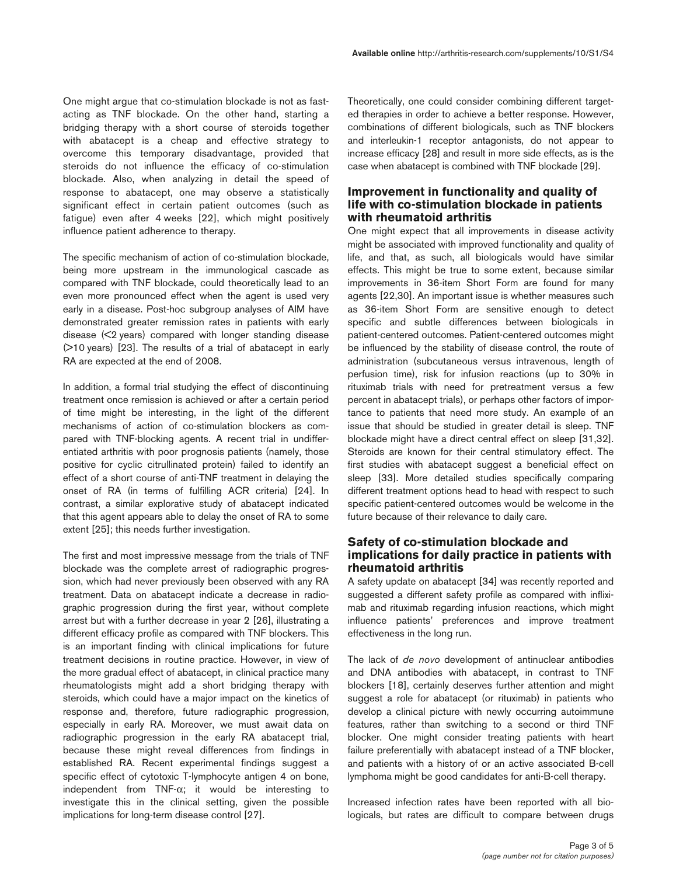One might argue that co-stimulation blockade is not as fastacting as TNF blockade. On the other hand, starting a bridging therapy with a short course of steroids together with abatacept is a cheap and effective strategy to overcome this temporary disadvantage, provided that steroids do not influence the efficacy of co-stimulation blockade. Also, when analyzing in detail the speed of response to abatacept, one may observe a statistically significant effect in certain patient outcomes (such as fatigue) even after 4 weeks [22], which might positively influence patient adherence to therapy.

The specific mechanism of action of co-stimulation blockade, being more upstream in the immunological cascade as compared with TNF blockade, could theoretically lead to an even more pronounced effect when the agent is used very early in a disease. Post-hoc subgroup analyses of AIM have demonstrated greater remission rates in patients with early disease (<2 years) compared with longer standing disease (>10 years) [23]. The results of a trial of abatacept in early RA are expected at the end of 2008.

In addition, a formal trial studying the effect of discontinuing treatment once remission is achieved or after a certain period of time might be interesting, in the light of the different mechanisms of action of co-stimulation blockers as compared with TNF-blocking agents. A recent trial in undifferentiated arthritis with poor prognosis patients (namely, those positive for cyclic citrullinated protein) failed to identify an effect of a short course of anti-TNF treatment in delaying the onset of RA (in terms of fulfilling ACR criteria) [24]. In contrast, a similar explorative study of abatacept indicated that this agent appears able to delay the onset of RA to some extent [25]; this needs further investigation.

The first and most impressive message from the trials of TNF blockade was the complete arrest of radiographic progression, which had never previously been observed with any RA treatment. Data on abatacept indicate a decrease in radiographic progression during the first year, without complete arrest but with a further decrease in year 2 [26], illustrating a different efficacy profile as compared with TNF blockers. This is an important finding with clinical implications for future treatment decisions in routine practice. However, in view of the more gradual effect of abatacept, in clinical practice many rheumatologists might add a short bridging therapy with steroids, which could have a major impact on the kinetics of response and, therefore, future radiographic progression, especially in early RA. Moreover, we must await data on radiographic progression in the early RA abatacept trial, because these might reveal differences from findings in established RA. Recent experimental findings suggest a specific effect of cytotoxic T-lymphocyte antigen 4 on bone, independent from TNF-α; it would be interesting to investigate this in the clinical setting, given the possible implications for long-term disease control [27].

Theoretically, one could consider combining different targeted therapies in order to achieve a better response. However, combinations of different biologicals, such as TNF blockers and interleukin-1 receptor antagonists, do not appear to increase efficacy [28] and result in more side effects, as is the case when abatacept is combined with TNF blockade [29].

# **Improvement in functionality and quality of life with co-stimulation blockade in patients with rheumatoid arthritis**

One might expect that all improvements in disease activity might be associated with improved functionality and quality of life, and that, as such, all biologicals would have similar effects. This might be true to some extent, because similar improvements in 36-item Short Form are found for many agents [22,30]. An important issue is whether measures such as 36-item Short Form are sensitive enough to detect specific and subtle differences between biologicals in patient-centered outcomes. Patient-centered outcomes might be influenced by the stability of disease control, the route of administration (subcutaneous versus intravenous, length of perfusion time), risk for infusion reactions (up to 30% in rituximab trials with need for pretreatment versus a few percent in abatacept trials), or perhaps other factors of importance to patients that need more study. An example of an issue that should be studied in greater detail is sleep. TNF blockade might have a direct central effect on sleep [31,32]. Steroids are known for their central stimulatory effect. The first studies with abatacept suggest a beneficial effect on sleep [33]. More detailed studies specifically comparing different treatment options head to head with respect to such specific patient-centered outcomes would be welcome in the future because of their relevance to daily care.

#### **Safety of co-stimulation blockade and implications for daily practice in patients with rheumatoid arthritis**

A safety update on abatacept [34] was recently reported and suggested a different safety profile as compared with infliximab and rituximab regarding infusion reactions, which might influence patients' preferences and improve treatment effectiveness in the long run.

The lack of *de novo* development of antinuclear antibodies and DNA antibodies with abatacept, in contrast to TNF blockers [18], certainly deserves further attention and might suggest a role for abatacept (or rituximab) in patients who develop a clinical picture with newly occurring autoimmune features, rather than switching to a second or third TNF blocker. One might consider treating patients with heart failure preferentially with abatacept instead of a TNF blocker, and patients with a history of or an active associated B-cell lymphoma might be good candidates for anti-B-cell therapy.

Increased infection rates have been reported with all biologicals, but rates are difficult to compare between drugs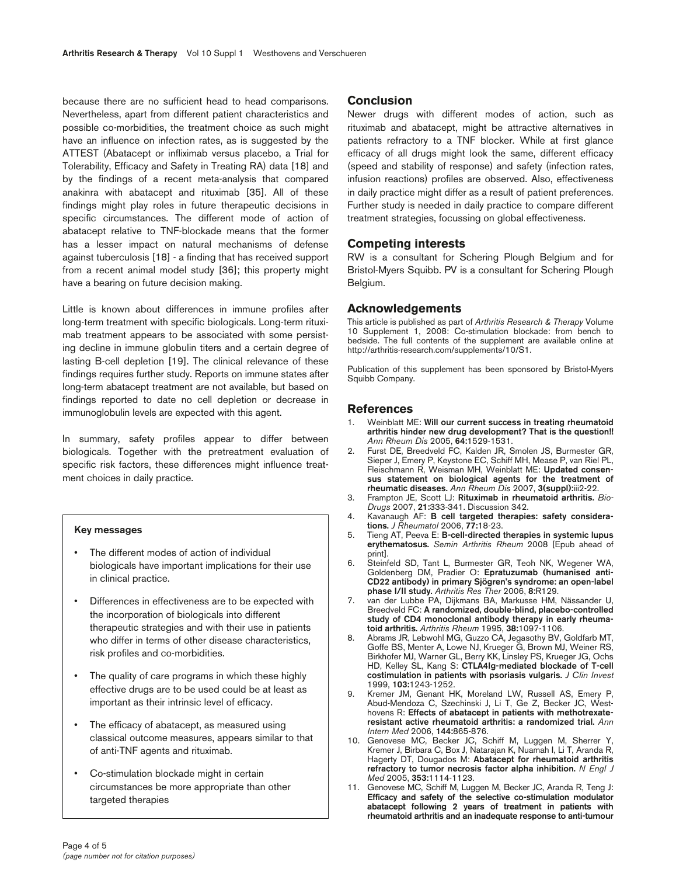because there are no sufficient head to head comparisons. Nevertheless, apart from different patient characteristics and possible co-morbidities, the treatment choice as such might have an influence on infection rates, as is suggested by the ATTEST (Abatacept or infliximab versus placebo, a Trial for Tolerability, Efficacy and Safety in Treating RA) data [18] and by the findings of a recent meta-analysis that compared anakinra with abatacept and rituximab [35]. All of these findings might play roles in future therapeutic decisions in specific circumstances. The different mode of action of abatacept relative to TNF-blockade means that the former has a lesser impact on natural mechanisms of defense against tuberculosis [18] - a finding that has received support from a recent animal model study [36]; this property might have a bearing on future decision making.

Little is known about differences in immune profiles after long-term treatment with specific biologicals. Long-term rituximab treatment appears to be associated with some persisting decline in immune globulin titers and a certain degree of lasting B-cell depletion [19]. The clinical relevance of these findings requires further study. Reports on immune states after long-term abatacept treatment are not available, but based on findings reported to date no cell depletion or decrease in immunoglobulin levels are expected with this agent.

In summary, safety profiles appear to differ between biologicals. Together with the pretreatment evaluation of specific risk factors, these differences might influence treatment choices in daily practice.

#### **Key messages**

- The different modes of action of individual biologicals have important implications for their use in clinical practice.
- Differences in effectiveness are to be expected with the incorporation of biologicals into different therapeutic strategies and with their use in patients who differ in terms of other disease characteristics, risk profiles and co-morbidities.
- The quality of care programs in which these highly effective drugs are to be used could be at least as important as their intrinsic level of efficacy.
- The efficacy of abatacept, as measured using classical outcome measures, appears similar to that of anti-TNF agents and rituximab.
- Co-stimulation blockade might in certain circumstances be more appropriate than other targeted therapies

# **Conclusion**

Newer drugs with different modes of action, such as rituximab and abatacept, might be attractive alternatives in patients refractory to a TNF blocker. While at first glance efficacy of all drugs might look the same, different efficacy (speed and stability of response) and safety (infection rates, infusion reactions) profiles are observed. Also, effectiveness in daily practice might differ as a result of patient preferences. Further study is needed in daily practice to compare different treatment strategies, focussing on global effectiveness.

#### **Competing interests**

RW is a consultant for Schering Plough Belgium and for Bristol-Myers Squibb. PV is a consultant for Schering Plough Belgium.

#### **Acknowledgements**

This article is published as part of *Arthritis Research & Therapy* Volume 10 Supplement 1, 2008: Co-stimulation blockade: from bench to bedside. The full contents of the supplement are available online at http://arthritis-research.com/supplements/10/S1.

Publication of this supplement has been sponsored by Bristol-Myers Squibb Company.

#### **References**

- 1. Weinblatt ME: **Will our current success in treating rheumatoid arthritis hinder new drug development? That is the question!!** *Ann Rheum Dis* 2005, **64:**1529-1531.
- 2. Furst DE, Breedveld FC, Kalden JR, Smolen JS, Burmester GR, Sieper J, Emery P, Keystone EC, Schiff MH, Mease P, van Riel PL, Fleischmann R, Weisman MH, Weinblatt ME: **Updated consensus statement on biological agents for the treatment of rheumatic diseases.** *Ann Rheum Dis* 2007, **3(suppl):**iii2-22.
- 3. Frampton JE, Scott LJ: **Rituximab in rheumatoid arthritis.** *Bio-Drugs* 2007, **21:**333-341. Discussion 342.
- 4. Kavanaugh AF: **B cell targeted therapies: safety considerations.** *J Rheumatol* 2006, **77:**18-23.
- 5. Tieng AT, Peeva E: **B-cell-directed therapies in systemic lupus erythematosus.** *Semin Arthritis Rheum* 2008 [Epub ahead of print].
- 6. Steinfeld SD, Tant L, Burmester GR, Teoh NK, Wegener WA, Goldenberg DM, Pradier O: **Epratuzumab (humanised anti-CD22 antibody) in primary Sjögren's syndrome: an open-label phase I/II study.** *Arthritis Res Ther* 2006, **8:**R129.
- 7. van der Lubbe PA, Dijkmans BA, Markusse HM, Nässander U, Breedveld FC: **A randomized, double-blind, placebo-controlled study of CD4 monoclonal antibody therapy in early rheumatoid arthritis.** *Arthritis Rheum* 1995, **38:**1097-1106.
- 8. Abrams JR, Lebwohl MG, Guzzo CA, Jegasothy BV, Goldfarb MT, Goffe BS, Menter A, Lowe NJ, Krueger G, Brown MJ, Weiner RS, Birkhofer MJ, Warner GL, Berry KK, Linsley PS, Krueger JG, Ochs HD, Kelley SL, Kang S: **CTLA4Ig-mediated blockade of T-cell costimulation in patients with psoriasis vulgaris.** *J Clin Invest* 1999, **103:**1243-1252.
- 9. Kremer JM, Genant HK, Moreland LW, Russell AS, Emery P, Abud-Mendoza C, Szechinski J, Li T, Ge Z, Becker JC, Westhovens R: **Effects of abatacept in patients with methotrexateresistant active rheumatoid arthritis: a randomized trial.** *Ann Intern Med* 2006, **144:**865-876.
- 10. Genovese MC, Becker JC, Schiff M, Luggen M, Sherrer Y, Kremer J, Birbara C, Box J, Natarajan K, Nuamah I, Li T, Aranda R, Hagerty DT, Dougados M: **Abatacept for rheumatoid arthritis refractory to tumor necrosis factor alpha inhibition.** *N Engl J Med* 2005, **353:**1114-1123.
- 11. Genovese MC, Schiff M, Luggen M, Becker JC, Aranda R, Teng J: **Efficacy and safety of the selective co-stimulation modulator abatacept following 2 years of treatment in patients with rheumatoid arthritis and an inadequate response to anti-tumour**